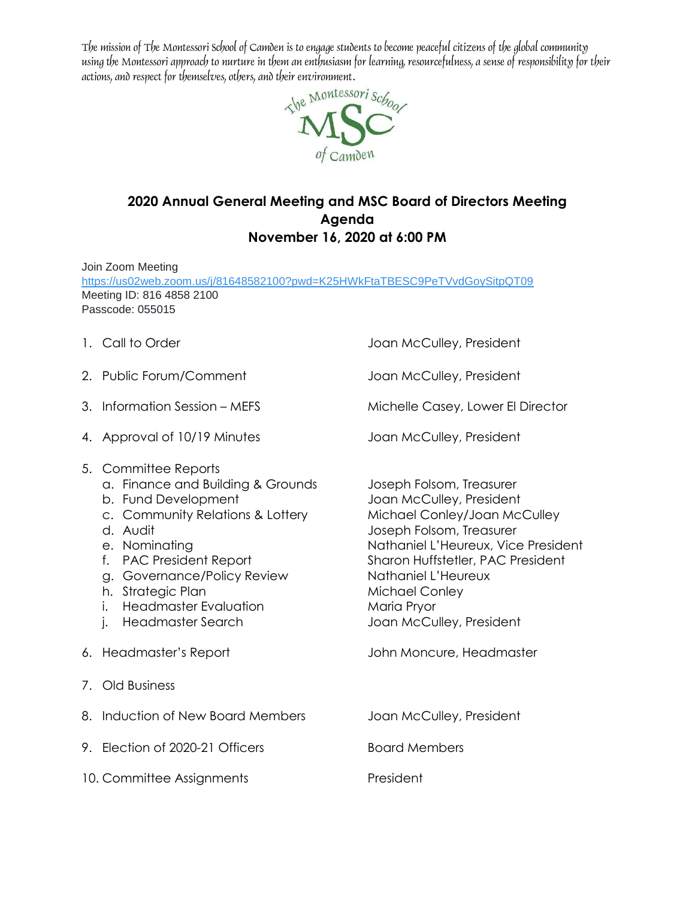The mission of The Montessori School of Camden is to engage students to become peaceful citizens of the global community using the Montessori approach to nurture in them an enthusiasm for learning, resourcefulness, a sense of responsibility for their actions, and respect for themselves, others, and their environment.



## **2020 Annual General Meeting and MSC Board of Directors Meeting Agenda November 16, 2020 at 6:00 PM**

Join Zoom Meeting <https://us02web.zoom.us/j/81648582100?pwd=K25HWkFtaTBESC9PeTVvdGoySitpQT09> Meeting ID: 816 4858 2100 Passcode: 055015

- 
- 2. Public Forum/Comment Joan McCulley, President
- 
- 4. Approval of 10/19 Minutes Joan McCulley, President
- 5. Committee Reports
	- a. Finance and Building & Grounds Joseph Folsom, Treasurer
	-
	- c. Community Relations & Lottery Michael Conley/Joan McCulley
	-
	-
	-
	- g. Governance/Policy Review Mathaniel L'Heureux
	- h. Strategic Plan Michael Conley
	- i. Headmaster Evaluation Maria Pryor
	-
- 
- 7. Old Business
- 8. Induction of New Board Members Joan McCulley, President 9. Election of 2020-21 Officers Board Members
- 10. Committee Assignments **President**

1. Call to Order **1. Call to Order 1. Call to Order 1. Call to Order 1. Call to Order 1. Call to Order 1. Call to Order 1. Call to Order 1. Call to Order 1. Call to Order 1. Call to Order 1. Call to Order 1. Call to Order** 

3. Information Session – MEFS Michelle Casey, Lower El Director

b. Fund Development and Joan McCulley, President d. Audit Joseph Folsom, Treasurer e. Nominating and a series of the Nathaniel L'Heureux, Vice President f. PAC President Report Sharon Huffstetler, PAC President j. Headmaster Search Joan McCulley, President

- 6. Headmaster's Report John Moncure, Headmaster
	-